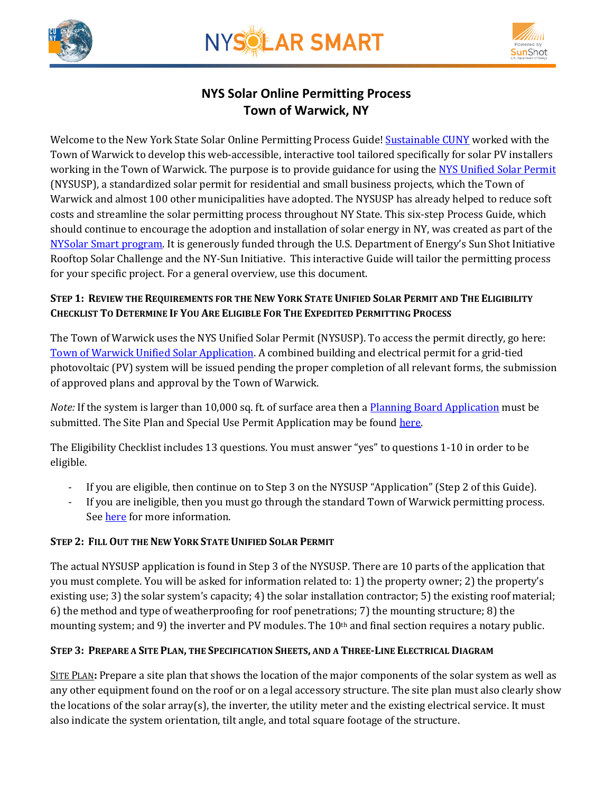





# **NYS Solar Online Permitting Process Town of Warwick, NY**

Welcome to the New York State Solar Online Permitting Process Guide! [Sustainable CUNY](http://www.cuny.edu/about/resources/sustainability.html) worked with the Town of Warwick to develop this web-accessible, interactive tool tailored specifically for solar PV installers working in the Town of Warwick. The purpose is to provide guidance for using th[e NYS Unified Solar Permit](http://www.townofwarwick.org/departments/building_docs/NYS-unified-solar-permit_072015.pdf) (NYSUSP), a standardized solar permit for residential and small business projects, which the Town of Warwick and almost 100 other municipalities have adopted. The NYSUSP has already helped to reduce soft costs and streamline the solar permitting process throughout NY State. This six-step Process Guide, which should continue to encourage the adoption and installation of solar energy in NY, was created as part of the [NYSolar Smart program.](http://www.cuny.edu/about/resources/sustainability/nyssolar.html) It is generously funded through the U.S. Department of Energy's Sun Shot Initiative Rooftop Solar Challenge and the NY-Sun Initiative. This interactive Guide will tailor the permitting process for your specific project. For a general overview, use this document.

## STEP 1: REVIEW THE REQUIREMENTS FOR THE NEW YORK STATE UNIFIED SOLAR PERMIT AND THE ELIGIBILITY **CHECKLIST TO DETERMINE IF YOU ARE ELIGIBLE FOR THE EXPEDITED PERMITTING PROCESS**

The Town of Warwick uses the NYS Unified Solar Permit (NYSUSP). To access the permit directly, go here: Town of Warwick [Unified Solar Application.](http://www.townofwarwick.org/departments/building_docs/NYS-unified-solar-permit_revised.pdf) A combined building and electrical permit for a grid-tied photovoltaic (PV) system will be issued pending the proper completion of all relevant forms, the submission of approved plans and approval by the Town of Warwick.

*Note:* If the system is larger than 10,000 sq. ft. of surface area then a **Planning Board Application** must be submitted. The Site Plan and Special Use Permit Application may be found [here.](http://www.townofwarwick.org/departments/pb_forms/20140925_site_plan_special_use_app.pdf)

The Eligibility Checklist includes 13 questions. You must answer "yes" to questions 1-10 in order to be eligible.

- If you are eligible, then continue on to Step 3 on the NYSUSP "Application" (Step 2 of this Guide).
- If you are ineligible, then you must go through the standard Town of Warwick permitting process. See [here](http://www.townofwarwick.org/departments/building_docs/building_permit_minor_final_20160114.pdf) for more information.

# **STEP 2: FILL OUT THE NEW YORK STATE UNIFIED SOLAR PERMIT**

The actual NYSUSP application is found in Step 3 of the NYSUSP. There are 10 parts of the application that you must complete. You will be asked for information related to: 1) the property owner; 2) the property's existing use; 3) the solar system's capacity; 4) the solar installation contractor; 5) the existing roof material; 6) the method and type of weatherproofing for roof penetrations; 7) the mounting structure; 8) the mounting system; and 9) the inverter and PV modules. The 10<sup>th</sup> and final section requires a notary public.

## STEP 3: PREPARE A SITE PLAN, THE SPECIFICATION SHEETS, AND A THREE-LINE ELECTRICAL DIAGRAM

SITE PLAN**:** Prepare a site plan that shows the location of the major components of the solar system as well as any other equipment found on the roof or on a legal accessory structure. The site plan must also clearly show the locations of the solar array(s), the inverter, the utility meter and the existing electrical service. It must also indicate the system orientation, tilt angle, and total square footage of the structure.